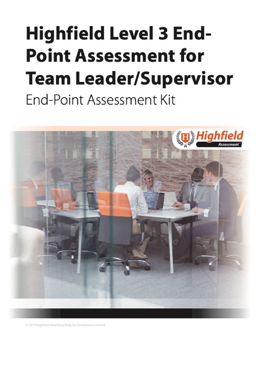# <span id="page-0-1"></span><span id="page-0-0"></span>**Highfield Level 3 End-Point Assessment for Team Leader/Supervisor End-Point Assessment Kit**



2019 Highfield Awarding Body for Compliance Limited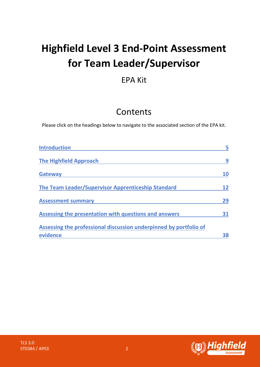# **Highfield Level 3 End-Point Assessment for Team Leader/Supervisor**

# EPA Kit

# Contents

Please click on the headings below to navigate to the associated section of the EPA kit.

| <b>Introduction</b>                                               |    |
|-------------------------------------------------------------------|----|
| <b>The Highfield Approach</b>                                     | 9  |
| <b>Gateway</b>                                                    | 10 |
| The Team Leader/Supervisor Apprenticeship Standard                |    |
| <b>Assessment summary</b>                                         | 29 |
| Assessing the presentation with questions and answers             | 31 |
| Assessing the professional discussion underpinned by portfolio of |    |
| evidence                                                          | 38 |

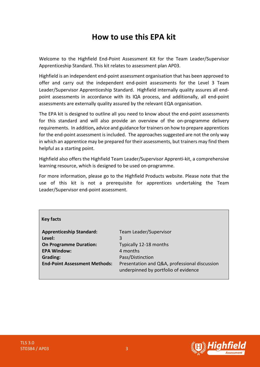# **How to use this EPA kit**

Welcome to the Highfield End-Point Assessment Kit for the Team Leader/Supervisor Apprenticeship Standard. This kit relates to assessment plan AP03.

Highfield is an independent end-point assessment organisation that has been approved to offer and carry out the independent end-point assessments for the Level 3 Team Leader/Supervisor Apprenticeship Standard. Highfield internally quality assures all endpoint assessments in accordance with its IQA process, and additionally, all end-point assessments are externally quality assured by the relevant EQA organisation.

The EPA kit is designed to outline all you need to know about the end-point assessments for this standard and will also provide an overview of the on-programme delivery requirements. In addition**,** advice and guidance for trainers on how to prepare apprentices for the end-point assessment is included. The approaches suggested are not the only way in which an apprentice may be prepared for their assessments, but trainers may find them helpful as a starting point.

Highfield also offers the Highfield Team Leader/Supervisor Apprenti-kit, a comprehensive learning resource, which is designed to be used on-programme.

For more information, please go to the Highfield Products website. Please note that the use of this kit is not a prerequisite for apprentices undertaking the Team Leader/Supervisor end-point assessment.

#### **Key facts**

**Apprenticeship Standard:** Team Leader/Supervisor **Level:** 3 **On Programme Duration:** Typically 12-18 months **EPA Window:** 4 months **Grading:** Pass/Distinction

**End-Point Assessment Methods:** Presentation and Q&A, professional discussion underpinned by portfolio of evidence

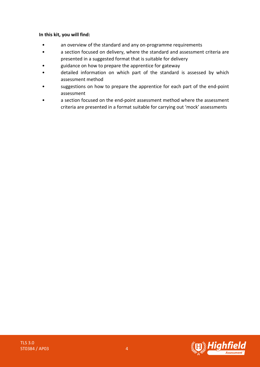#### **In this kit, you will find:**

- an overview of the standard and any on-programme requirements
- a section focused on delivery, where the standard and assessment criteria are presented in a suggested format that is suitable for delivery
- guidance on how to prepare the apprentice for gateway
- detailed information on which part of the standard is assessed by which assessment method
- suggestions on how to prepare the apprentice for each part of the end-point assessment
- a section focused on the end-point assessment method where the assessment criteria are presented in a format suitable for carrying out 'mock' assessments

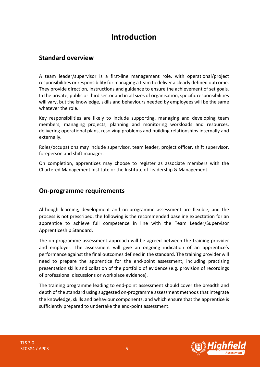# **Introduction**

### <span id="page-4-0"></span>**Standard overview**

A team leader/supervisor is a first-line management role, with operational/project responsibilities or responsibility for managing a team to deliver a clearly defined outcome. They provide direction, instructions and guidance to ensure the achievement of set goals. In the private, public or third sector and in all sizes of organisation, specific responsibilities will vary, but the knowledge, skills and behaviours needed by employees will be the same whatever the role.

Key responsibilities are likely to include supporting, managing and developing team members, managing projects, planning and monitoring workloads and resources, delivering operational plans, resolving problems and building relationships internally and externally.

Roles/occupations may include supervisor, team leader, project officer, shift supervisor, foreperson and shift manager.

On completion, apprentices may choose to register as associate members with the Chartered Management Institute or the Institute of Leadership & Management.

### **On-programme requirements**

Although learning, development and on-programme assessment are flexible, and the process is not prescribed, the following is the recommended baseline expectation for an apprentice to achieve full competence in line with the Team Leader/Supervisor Apprenticeship Standard.

The on-programme assessment approach will be agreed between the training provider and employer. The assessment will give an ongoing indication of an apprentice's performance against the final outcomes defined in the standard. The training provider will need to prepare the apprentice for the end-point assessment, including practising presentation skills and collation of the portfolio of evidence (e.g. provision of recordings of professional discussions or workplace evidence).

The training programme leading to end-point assessment should cover the breadth and depth of the standard using suggested on-programme assessment methods that integrate the knowledge, skills and behaviour components, and which ensure that the apprentice is sufficiently prepared to undertake the end-point assessment.

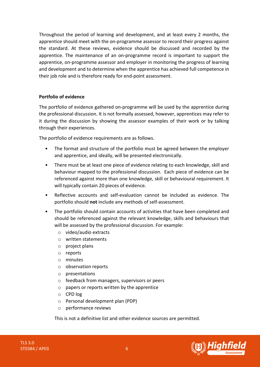Throughout the period of learning and development, and at least every 2 months, the apprentice should meet with the on-programme assessor to record their progress against the standard. At these reviews, evidence should be discussed and recorded by the apprentice. The maintenance of an on-programme record is important to support the apprentice, on-programme assessor and employer in monitoring the progress of learning and development and to determine when the apprentice has achieved full competence in their job role and is therefore ready for end-point assessment.

#### **Portfolio of evidence**

The portfolio of evidence gathered on-programme will be used by the apprentice during the professional discussion. It is not formally assessed, however, apprentices may refer to it during the discussion by showing the assessor examples of their work or by talking through their experiences.

The portfolio of evidence requirements are as follows.

- The format and structure of the portfolio must be agreed between the employer and apprentice, and ideally, will be presented electronically.
- There must be at least one piece of evidence relating to each knowledge, skill and behaviour mapped to the professional discussion. Each piece of evidence can be referenced against more than one knowledge, skill or behavioural requirement. It will typically contain 20 pieces of evidence.
- Reflective accounts and self-evaluation cannot be included as evidence. The portfolio should **not** include any methods of self-assessment.
- The portfolio should contain accounts of activities that have been completed and should be referenced against the relevant knowledge, skills and behaviours that will be assessed by the professional discussion. For example:
	- o video/audio extracts
	- o written statements
	- o project plans
	- o reports
	- o minutes
	- o observation reports
	- o presentations
	- o feedback from managers, supervisors or peers
	- o papers or reports written by the apprentice
	- o CPD log
	- o Personal development plan (PDP)
	- o performance reviews

This is not a definitive list and other evidence sources are permitted.

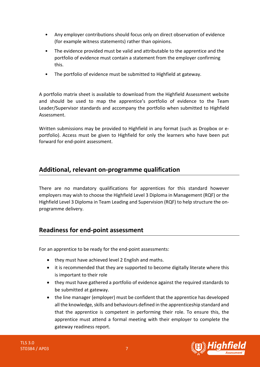- Any employer contributions should focus only on direct observation of evidence (for example witness statements) rather than opinions.
- The evidence provided must be valid and attributable to the apprentice and the portfolio of evidence must contain a statement from the employer confirming this.
- The portfolio of evidence must be submitted to Highfield at gateway.

A portfolio matrix sheet is available to download from the Highfield Assessment website and should be used to map the apprentice's portfolio of evidence to the Team Leader/Supervisor standards and accompany the portfolio when submitted to Highfield Assessment.

Written submissions may be provided to Highfield in any format (such as Dropbox or eportfolio). Access must be given to Highfield for only the learners who have been put forward for end-point assessment.

# **Additional, relevant on-programme qualification**

There are no mandatory qualifications for apprentices for this standard however employers may wish to choose the Highfield Level 3 Diploma in Management (RQF) or the Highfield Level 3 Diploma in Team Leading and Supervision (RQF) to help structure the onprogramme delivery.

# **Readiness for end-point assessment**

For an apprentice to be ready for the end-point assessments:

- they must have achieved level 2 English and maths.
- it is recommended that they are supported to become digitally literate where this is important to their role
- they must have gathered a portfolio of evidence against the required standards to be submitted at gateway.
- the line manager (employer) must be confident that the apprentice has developed all the knowledge, skills and behaviours defined in the apprenticeship standard and that the apprentice is competent in performing their role. To ensure this, the apprentice must attend a formal meeting with their employer to complete the gateway readiness report.

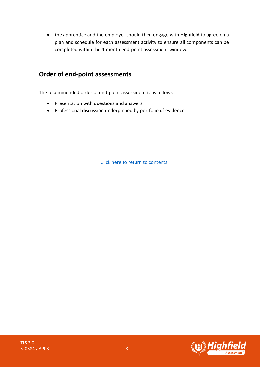• the apprentice and the employer should then engage with Highfield to agree on a plan and schedule for each assessment activity to ensure all components can be completed within the 4-month end-point assessment window.

### **Order of end-point assessments**

The recommended order of end-point assessment is as follows.

- Presentation with questions and answers
- Professional discussion underpinned by portfolio of evidence



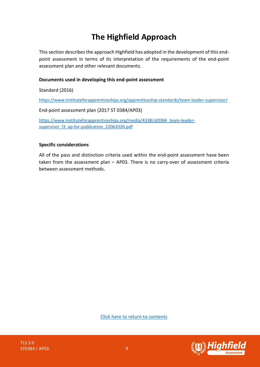# **The Highfield Approach**

<span id="page-8-0"></span>This section describes the approach Highfield has adopted in the development of this endpoint assessment in terms of its interpretation of the requirements of the end-point assessment plan and other relevant documents.

#### **Documents used in developing this end-point assessment**

Standard (2016)

<https://www.instituteforapprenticeships.org/apprenticeship-standards/team-leader-supervisor/>

End-point assessment plan (2017 ST 0384/AP03)

[https://www.instituteforapprenticeships.org/media/4338/st0384\\_team-leader](https://www.instituteforapprenticeships.org/media/4338/st0384_team-leader-supervisor_l3_ap-for-publication_22062020.pdf)[supervisor\\_l3\\_ap-for-publication\\_22062020.pdf](https://www.instituteforapprenticeships.org/media/4338/st0384_team-leader-supervisor_l3_ap-for-publication_22062020.pdf)

#### **Specific considerations**

All of the pass and distinction criteria used within the end-point assessment have been taken from the assessment plan – AP03. There is no carry-over of assessment criteria between assessment methods.

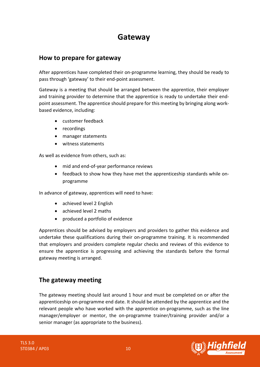# **Gateway**

# <span id="page-9-0"></span>**How to prepare for gateway**

After apprentices have completed their on-programme learning, they should be ready to pass through 'gateway' to their end-point assessment.

Gateway is a meeting that should be arranged between the apprentice, their employer and training provider to determine that the apprentice is ready to undertake their endpoint assessment. The apprentice should prepare for this meeting by bringing along workbased evidence, including:

- customer feedback
- recordings
- manager statements
- witness statements

As well as evidence from others, such as:

- mid and end-of-year performance reviews
- feedback to show how they have met the apprenticeship standards while onprogramme

In advance of gateway, apprentices will need to have:

- achieved level 2 English
- achieved level 2 maths
- produced a portfolio of evidence

Apprentices should be advised by employers and providers to gather this evidence and undertake these qualifications during their on-programme training. It is recommended that employers and providers complete regular checks and reviews of this evidence to ensure the apprentice is progressing and achieving the standards before the formal gateway meeting is arranged.

# **The gateway meeting**

The gateway meeting should last around 1 hour and must be completed on or after the apprenticeship on-programme end date. It should be attended by the apprentice and the relevant people who have worked with the apprentice on-programme, such as the line manager/employer or mentor, the on-programme trainer/training provider and/or a senior manager (as appropriate to the business).

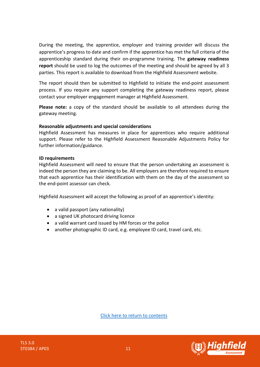During the meeting, the apprentice, employer and training provider will discuss the apprentice's progress to date and confirm if the apprentice has met the full criteria of the apprenticeship standard during their on-programme training. The **gateway readiness report** should be used to log the outcomes of the meeting and should be agreed by all 3 parties. This report is available to download from the Highfield Assessment website.

The report should then be submitted to Highfield to initiate the end-point assessment process. If you require any support completing the gateway readiness report, please contact your employer engagement manager at Highfield Assessment.

**Please note:** a copy of the standard should be available to all attendees during the gateway meeting.

#### **Reasonable adjustments and special considerations**

Highfield Assessment has measures in place for apprentices who require additional support. Please refer to the Highfield Assessment Reasonable Adjustments Policy for further information/guidance.

#### **ID requirements**

Highfield Assessment will need to ensure that the person undertaking an assessment is indeed the person they are claiming to be. All employers are therefore required to ensure that each apprentice has their identification with them on the day of the assessment so the end-point assessor can check.

Highfield Assessment will accept the following as proof of an apprentice's identity:

- a valid passport (any nationality)
- a signed UK photocard driving licence
- a valid warrant card issued by HM forces or the police
- another photographic ID card, e.g. employee ID card, travel card, etc.



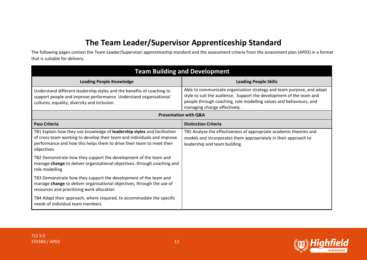# **The Team Leader/Supervisor Apprenticeship Standard**

The following pages contain the Team Leader/Supervisor apprenticeship standard and the assessment criteria from the assessment plan (AP03) in a format that is suitable for delivery.

<span id="page-11-0"></span>

| <b>Team Building and Development</b>                                                                                                                                                                                                        |                                                                                                                                                                                                                                                    |
|---------------------------------------------------------------------------------------------------------------------------------------------------------------------------------------------------------------------------------------------|----------------------------------------------------------------------------------------------------------------------------------------------------------------------------------------------------------------------------------------------------|
| <b>Leading People Knowledge</b>                                                                                                                                                                                                             | <b>Leading People Skills</b>                                                                                                                                                                                                                       |
| Understand different leadership styles and the benefits of coaching to<br>support people and improve performance. Understand organisational<br>cultures, equality, diversity and inclusion.                                                 | Able to communicate organisation strategy and team purpose, and adapt<br>style to suit the audience. Support the development of the team and<br>people through coaching, role modelling values and behaviours, and<br>managing change effectively. |
| <b>Presentation with Q&amp;A</b>                                                                                                                                                                                                            |                                                                                                                                                                                                                                                    |
| <b>Pass Criteria</b>                                                                                                                                                                                                                        | <b>Distinction Criteria</b>                                                                                                                                                                                                                        |
| TB1 Explain how they use knowledge of leadership styles and facilitation<br>of cross-team working to develop their team and individuals and improve<br>performance and how this helps them to drive their team to meet their<br>objectives. | TB5 Analyse the effectiveness of appropriate academic theories and<br>models and incorporates them appropriately in their approach to<br>leadership and team building.                                                                             |
| TB2 Demonstrate how they support the development of the team and<br>manage change to deliver organisational objectives, through coaching and<br>role modelling                                                                              |                                                                                                                                                                                                                                                    |
| TB3 Demonstrate how they support the development of the team and<br>manage change to deliver organisational objectives, through the use of<br>resources and prioritising work allocation                                                    |                                                                                                                                                                                                                                                    |
| TB4 Adapt their approach, where required, to accommodate the specific<br>needs of individual team members                                                                                                                                   |                                                                                                                                                                                                                                                    |

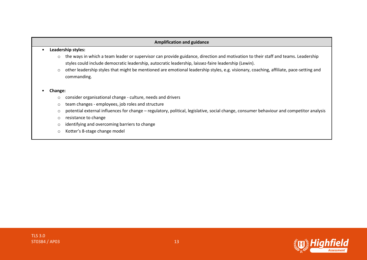#### **Amplification and guidance**

#### • **Leadership styles:**

- o the ways in which a team leader or supervisor can provide guidance, direction and motivation to their staff and teams. Leadership styles could include democratic leadership, autocratic leadership, laissez-faire leadership (Lewin).
- o other leadership styles that might be mentioned are emotional leadership styles, e.g. visionary, coaching, affiliate, pace-setting and commanding.

#### • **Change:**

- o consider organisational change culture, needs and drivers
- o team changes employees, job roles and structure
- o potential external influences for change regulatory, political, legislative, social change, consumer behaviour and competitor analysis
- o resistance to change
- o identifying and overcoming barriers to change
- o Kotter's 8-stage change model

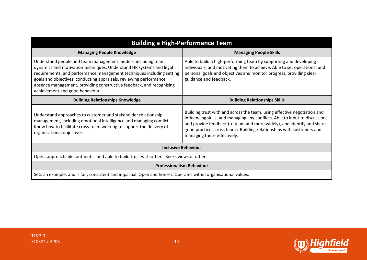| <b>Building a High-Performance Team</b>                                                                                                                                                                                                                                                                                                                                                       |                                                                                                                                                                                                                                                                                                                                            |  |
|-----------------------------------------------------------------------------------------------------------------------------------------------------------------------------------------------------------------------------------------------------------------------------------------------------------------------------------------------------------------------------------------------|--------------------------------------------------------------------------------------------------------------------------------------------------------------------------------------------------------------------------------------------------------------------------------------------------------------------------------------------|--|
| <b>Managing People Knowledge</b>                                                                                                                                                                                                                                                                                                                                                              | <b>Managing People Skills</b>                                                                                                                                                                                                                                                                                                              |  |
| Understand people and team management models, including team<br>dynamics and motivation techniques. Understand HR systems and legal<br>requirements, and performance management techniques including setting<br>goals and objectives, conducting appraisals, reviewing performance,<br>absence management, providing constructive feedback, and recognising<br>achievement and good behaviour | Able to build a high-performing team by supporting and developing<br>individuals, and motivating them to achieve. Able to set operational and<br>personal goals and objectives and monitor progress, providing clear<br>guidance and feedback.                                                                                             |  |
| <b>Building Relationships Knowledge</b>                                                                                                                                                                                                                                                                                                                                                       | <b>Building Relationships Skills</b>                                                                                                                                                                                                                                                                                                       |  |
| Understand approaches to customer and stakeholder relationship<br>management, including emotional intelligence and managing conflict.<br>Know how to facilitate cross-team working to support the delivery of<br>organisational objectives                                                                                                                                                    | Building trust with and across the team, using effective negotiation and<br>influencing skills, and managing any conflicts. Able to input to discussions<br>and provide feedback (to team and more widely), and identify and share<br>good practice across teams. Building relationships with customers and<br>managing these effectively. |  |
| <b>Inclusive Behaviour</b>                                                                                                                                                                                                                                                                                                                                                                    |                                                                                                                                                                                                                                                                                                                                            |  |
| Open, approachable, authentic, and able to build trust with others. Seeks views of others.                                                                                                                                                                                                                                                                                                    |                                                                                                                                                                                                                                                                                                                                            |  |
| <b>Professionalism Behaviour</b>                                                                                                                                                                                                                                                                                                                                                              |                                                                                                                                                                                                                                                                                                                                            |  |
| Sets an example, and is fair, consistent and impartial. Open and honest. Operates within organisational values.                                                                                                                                                                                                                                                                               |                                                                                                                                                                                                                                                                                                                                            |  |

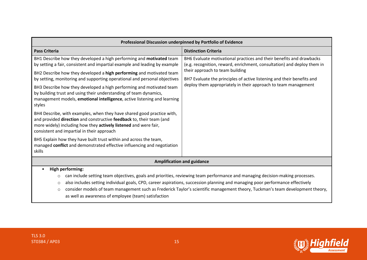| Professional Discussion underpinned by Portfolio of Evidence                                                                                                                                                                                                                                                                                                                                                                                                                                                                                                                                                                                                                                                                                                                                                                                                                                                                                                   |                                                                                                                                                                                                                                                                                                                                |  |
|----------------------------------------------------------------------------------------------------------------------------------------------------------------------------------------------------------------------------------------------------------------------------------------------------------------------------------------------------------------------------------------------------------------------------------------------------------------------------------------------------------------------------------------------------------------------------------------------------------------------------------------------------------------------------------------------------------------------------------------------------------------------------------------------------------------------------------------------------------------------------------------------------------------------------------------------------------------|--------------------------------------------------------------------------------------------------------------------------------------------------------------------------------------------------------------------------------------------------------------------------------------------------------------------------------|--|
| <b>Pass Criteria</b>                                                                                                                                                                                                                                                                                                                                                                                                                                                                                                                                                                                                                                                                                                                                                                                                                                                                                                                                           | <b>Distinction Criteria</b>                                                                                                                                                                                                                                                                                                    |  |
| BH1 Describe how they developed a high performing and motivated team<br>by setting a fair, consistent and impartial example and leading by example<br>BH2 Describe how they developed a high performing and motivated team<br>by setting, monitoring and supporting operational and personal objectives<br>BH3 Describe how they developed a high performing and motivated team<br>by building trust and using their understanding of team dynamics,<br>management models, emotional intelligence, active listening and learning<br>styles<br>BH4 Describe, with examples, when they have shared good practice with,<br>and provided direction and constructive feedback to, their team (and<br>more widely) including how they actively listened and were fair,<br>consistent and impartial in their approach<br>BH5 Explain how they have built trust within and across the team,<br>managed conflict and demonstrated effective influencing and negotiation | BH6 Evaluate motivational practices and their benefits and drawbacks<br>(e.g. recognition, reward, enrichment, consultation) and deploy them in<br>their approach to team building<br>BH7 Evaluate the principles of active listening and their benefits and<br>deploy them appropriately in their approach to team management |  |
| skills                                                                                                                                                                                                                                                                                                                                                                                                                                                                                                                                                                                                                                                                                                                                                                                                                                                                                                                                                         |                                                                                                                                                                                                                                                                                                                                |  |
| <b>Amplification and guidance</b>                                                                                                                                                                                                                                                                                                                                                                                                                                                                                                                                                                                                                                                                                                                                                                                                                                                                                                                              |                                                                                                                                                                                                                                                                                                                                |  |
| <b>High performing:</b><br>can include setting team objectives, goals and priorities, reviewing team performance and managing decision-making processes.<br>$\circ$<br>also includes setting individual goals, CPD, career aspirations, succession planning and managing poor performance effectively<br>O<br>consider models of team management such as Frederick Taylor's scientific management theory, Tuckman's team development theory,<br>$\circ$<br>as well as awareness of employee (team) satisfaction                                                                                                                                                                                                                                                                                                                                                                                                                                                |                                                                                                                                                                                                                                                                                                                                |  |



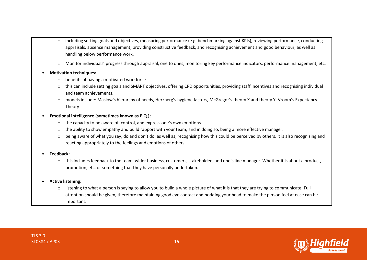- o including setting goals and objectives, measuring performance (e.g. benchmarking against KPIs), reviewing performance, conducting appraisals, absence management, providing constructive feedback, and recognising achievement and good behaviour, as well as handling below performance work.
- o Monitor individuals' progress through appraisal, one to ones, monitoring key performance indicators, performance management, etc.

#### • **Motivation techniques:**

- o benefits of having a motivated workforce
- o this can include setting goals and SMART objectives, offering CPD opportunities, providing staff incentives and recognising individual and team achievements.
- o models include: Maslow's hierarchy of needs, Herzberg's hygiene factors, McGregor's theory X and theory Y, Vroom's Expectancy Theory

#### • **Emotional intelligence (sometimes known as E.Q.):**

- o the capacity to be aware of, control, and express one's own emotions.
- o the ability to show empathy and build rapport with your team, and in doing so, being a more effective manager.
- $\circ$  being aware of what you say, do and don't do, as well as, recognising how this could be perceived by others. It is also recognising and reacting appropriately to the feelings and emotions of others.

#### • **Feedback:**

o this includes feedback to the team, wider business, customers, stakeholders and one's line manager. Whether it is about a product, promotion, etc. or something that they have personally undertaken.

#### • **Active listening:**

 $\circ$  listening to what a person is saying to allow you to build a whole picture of what it is that they are trying to communicate. Full attention should be given, therefore maintaining good eye contact and nodding your head to make the person feel at ease can be important.

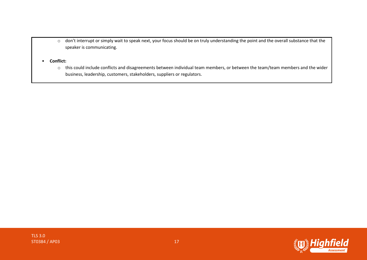- o don't interrupt or simply wait to speak next, your focus should be on truly understanding the point and the overall substance that the speaker is communicating.
- **Conflict:**
	- o this could include conflicts and disagreements between individual team members, or between the team/team members and the wider business, leadership, customers, stakeholders, suppliers or regulators.

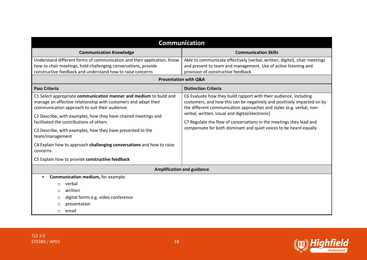| <b>Communication</b>                                                                                                                                                                    |                                                                                                                                                                                                                      |  |
|-----------------------------------------------------------------------------------------------------------------------------------------------------------------------------------------|----------------------------------------------------------------------------------------------------------------------------------------------------------------------------------------------------------------------|--|
| <b>Communication Knowledge</b>                                                                                                                                                          | <b>Communication Skills</b>                                                                                                                                                                                          |  |
| Understand different forms of communication and their application. Know                                                                                                                 | Able to communicate effectively (verbal, written, digital), chair meetings                                                                                                                                           |  |
| how to chair meetings, hold challenging conversations, provide<br>constructive feedback and understand how to raise concerns                                                            | and present to team and management. Use of active listening and<br>provision of constructive feedback                                                                                                                |  |
| <b>Presentation with Q&amp;A</b>                                                                                                                                                        |                                                                                                                                                                                                                      |  |
| <b>Pass Criteria</b>                                                                                                                                                                    | <b>Distinction Criteria</b>                                                                                                                                                                                          |  |
| C1 Select appropriate communication manner and medium to build and<br>manage an effective relationship with customers and adapt their<br>communication approach to suit their audience. | C6 Evaluate how they build rapport with their audience, including<br>customers, and how this can be negatively and positively impacted on by<br>the different communication approaches and styles (e.g. verbal, non- |  |
| C2 Describe, with examples, how they have chaired meetings and<br>facilitated the contributions of others                                                                               | verbal, written, visual and digital/electronic)<br>C7 Regulate the flow of conversations in the meetings they lead and                                                                                               |  |
| C3 Describe, with examples, how they have presented to the<br>team/management                                                                                                           | compensate for both dominant and quiet voices to be heard equally                                                                                                                                                    |  |
| C4 Explain how to approach challenging conversations and how to raise<br>concerns                                                                                                       |                                                                                                                                                                                                                      |  |
| C5 Explain how to provide constructive feedback                                                                                                                                         |                                                                                                                                                                                                                      |  |
| <b>Amplification and guidance</b>                                                                                                                                                       |                                                                                                                                                                                                                      |  |
| Communication medium, for example:                                                                                                                                                      |                                                                                                                                                                                                                      |  |
| verbal<br>$\circ$                                                                                                                                                                       |                                                                                                                                                                                                                      |  |
| written<br>$\circ$                                                                                                                                                                      |                                                                                                                                                                                                                      |  |
| digital forms e.g. video conference<br>$\circ$                                                                                                                                          |                                                                                                                                                                                                                      |  |
| presentation<br>O                                                                                                                                                                       |                                                                                                                                                                                                                      |  |
| email<br>$\circ$                                                                                                                                                                        |                                                                                                                                                                                                                      |  |

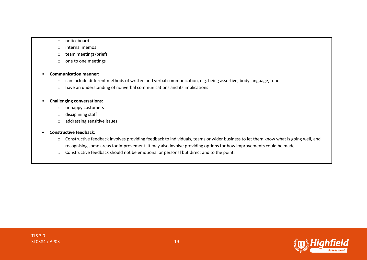#### o noticeboard

- o internal memos
- o team meetings/briefs
- o one to one meetings

#### • **Communication manner:**

- o can include different methods of written and verbal communication, e.g. being assertive, body language, tone.
- o have an understanding of nonverbal communications and its implications

#### • **Challenging conversations:**

- o unhappy customers
- o disciplining staff
- o addressing sensitive issues

#### • **Constructive feedback:**

- o Constructive feedback involves providing feedback to individuals, teams or wider business to let them know what is going well, and recognising some areas for improvement. It may also involve providing options for how improvements could be made.
- o Constructive feedback should not be emotional or personal but direct and to the point.

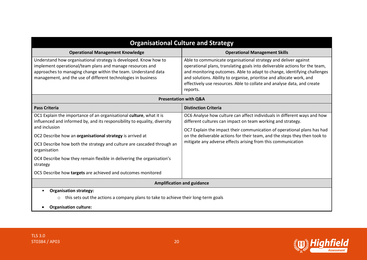| <b>Organisational Culture and Strategy</b>                                                                                                                                                                                                                                                                                                                                                                                                                                     |                                                                                                                                                                                                                                                                                                                                                                                            |  |
|--------------------------------------------------------------------------------------------------------------------------------------------------------------------------------------------------------------------------------------------------------------------------------------------------------------------------------------------------------------------------------------------------------------------------------------------------------------------------------|--------------------------------------------------------------------------------------------------------------------------------------------------------------------------------------------------------------------------------------------------------------------------------------------------------------------------------------------------------------------------------------------|--|
| <b>Operational Management Knowledge</b>                                                                                                                                                                                                                                                                                                                                                                                                                                        | <b>Operational Management Skills</b>                                                                                                                                                                                                                                                                                                                                                       |  |
| Understand how organisational strategy is developed. Know how to<br>implement operational/team plans and manage resources and<br>approaches to managing change within the team. Understand data<br>management, and the use of different technologies in business                                                                                                                                                                                                               | Able to communicate organisational strategy and deliver against<br>operational plans, translating goals into deliverable actions for the team,<br>and monitoring outcomes. Able to adapt to change, identifying challenges<br>and solutions. Ability to organise, prioritise and allocate work, and<br>effectively use resources. Able to collate and analyse data, and create<br>reports. |  |
| <b>Presentation with Q&amp;A</b>                                                                                                                                                                                                                                                                                                                                                                                                                                               |                                                                                                                                                                                                                                                                                                                                                                                            |  |
| <b>Pass Criteria</b>                                                                                                                                                                                                                                                                                                                                                                                                                                                           | <b>Distinction Criteria</b>                                                                                                                                                                                                                                                                                                                                                                |  |
| OC1 Explain the importance of an organisational culture, what it is<br>influenced and informed by, and its responsibility to equality, diversity<br>and inclusion<br>OC2 Describe how an organisational strategy is arrived at<br>OC3 Describe how both the strategy and culture are cascaded through an<br>organisation<br>OC4 Describe how they remain flexible in delivering the organisation's<br>strategy<br>OC5 Describe how targets are achieved and outcomes monitored | OC6 Analyse how culture can affect individuals in different ways and how<br>different cultures can impact on team working and strategy.<br>OC7 Explain the impact their communication of operational plans has had<br>on the deliverable actions for their team, and the steps they then took to<br>mitigate any adverse effects arising from this communication                           |  |
| <b>Amplification and guidance</b>                                                                                                                                                                                                                                                                                                                                                                                                                                              |                                                                                                                                                                                                                                                                                                                                                                                            |  |
| <b>Organisation strategy:</b><br>this sets out the actions a company plans to take to achieve their long-term goals<br>$\circ$<br><b>Organisation culture:</b>                                                                                                                                                                                                                                                                                                                 |                                                                                                                                                                                                                                                                                                                                                                                            |  |

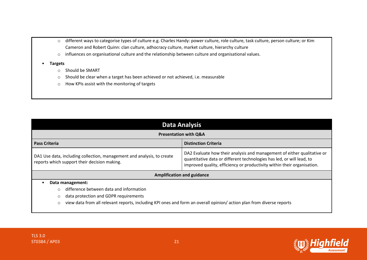- o different ways to categorise types of culture e.g. Charles Handy: power culture, role culture, task culture, person culture; or Kim Cameron and Robert Quinn: clan culture, adhocracy culture, market culture, hierarchy culture
- o influences on organisational culture and the relationship between culture and organisational values.
- **Targets**
	- o Should be SMART
	- o Should be clear when a target has been achieved or not achieved, i.e. measurable
	- o How KPIs assist with the monitoring of targets

| <b>Data Analysis</b>                                                                                                            |                                                                                                                                                                                                                             |  |
|---------------------------------------------------------------------------------------------------------------------------------|-----------------------------------------------------------------------------------------------------------------------------------------------------------------------------------------------------------------------------|--|
| <b>Presentation with Q&amp;A</b>                                                                                                |                                                                                                                                                                                                                             |  |
| <b>Pass Criteria</b>                                                                                                            | <b>Distinction Criteria</b>                                                                                                                                                                                                 |  |
| DA1 Use data, including collection, management and analysis, to create<br>reports which support their decision making.          | DA2 Evaluate how their analysis and management of either qualitative or<br>quantitative data or different technologies has led, or will lead, to<br>improved quality, efficiency or productivity within their organisation. |  |
| <b>Amplification and guidance</b>                                                                                               |                                                                                                                                                                                                                             |  |
| Data management:                                                                                                                |                                                                                                                                                                                                                             |  |
| difference between data and information<br>$\circ$                                                                              |                                                                                                                                                                                                                             |  |
| data protection and GDPR requirements<br>$\circ$                                                                                |                                                                                                                                                                                                                             |  |
| view data from all relevant reports, including KPI ones and form an overall opinion/action plan from diverse reports<br>$\circ$ |                                                                                                                                                                                                                             |  |

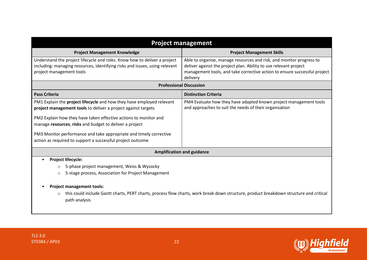| <b>Project management</b>                                                                                                                                                                                                                                                                                                                                                                                 |                                                                                                                                                                                                                                    |  |
|-----------------------------------------------------------------------------------------------------------------------------------------------------------------------------------------------------------------------------------------------------------------------------------------------------------------------------------------------------------------------------------------------------------|------------------------------------------------------------------------------------------------------------------------------------------------------------------------------------------------------------------------------------|--|
| <b>Project Management Knowledge</b>                                                                                                                                                                                                                                                                                                                                                                       | <b>Project Management Skills</b>                                                                                                                                                                                                   |  |
| Understand the project lifecycle and roles. Know how to deliver a project<br>including: managing resources, identifying risks and issues, using relevant<br>project management tools                                                                                                                                                                                                                      | Able to organise, manage resources and risk, and monitor progress to<br>deliver against the project plan. Ability to use relevant project<br>management tools, and take corrective action to ensure successful project<br>delivery |  |
|                                                                                                                                                                                                                                                                                                                                                                                                           | <b>Professional Discussion</b>                                                                                                                                                                                                     |  |
| <b>Pass Criteria</b>                                                                                                                                                                                                                                                                                                                                                                                      | <b>Distinction Criteria</b>                                                                                                                                                                                                        |  |
| PM1 Explain the project lifecycle and how they have employed relevant<br>project management tools to deliver a project against targets<br>PM2 Explain how they have taken effective actions to monitor and<br>manage resources, risks and budget to deliver a project<br>PM3 Monitor performance and take appropriate and timely corrective<br>action as required to support a successful project outcome | PM4 Evaluate how they have adapted known project management tools<br>and approaches to suit the needs of their organisation                                                                                                        |  |
| <b>Amplification and guidance</b>                                                                                                                                                                                                                                                                                                                                                                         |                                                                                                                                                                                                                                    |  |
| <b>Project lifecycle:</b><br>5-phase project management, Weiss & Wysocky<br>$\circ$<br>5-stage process, Association for Project Management<br>$\circ$<br><b>Project management tools:</b><br>this could include Gantt charts, PERT charts, process flow charts, work break down structure, product breakdown structure and critical<br>$\circ$<br>path analysis                                           |                                                                                                                                                                                                                                    |  |

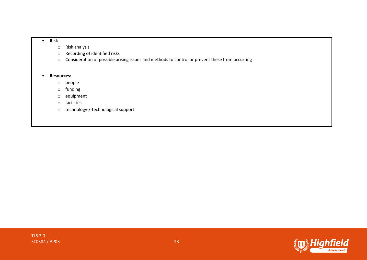#### • **Risk**

- o Risk analysis
- o Recording of identified risks
- o Consideration of possible arising issues and methods to control or prevent these from occurring

#### • **Resources:**

- o people
- o funding
- o equipment
- o facilities
- o technology-/-technological support

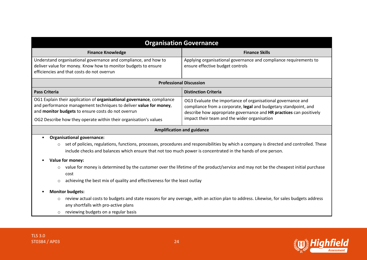| <b>Organisation Governance</b>                                                                                                                                                                                                                                        |                                                                                                                                                                                                                                                         |  |
|-----------------------------------------------------------------------------------------------------------------------------------------------------------------------------------------------------------------------------------------------------------------------|---------------------------------------------------------------------------------------------------------------------------------------------------------------------------------------------------------------------------------------------------------|--|
| <b>Finance Knowledge</b>                                                                                                                                                                                                                                              | <b>Finance Skills</b>                                                                                                                                                                                                                                   |  |
| Understand organisational governance and compliance, and how to<br>deliver value for money. Know how to monitor budgets to ensure<br>efficiencies and that costs do not overrun                                                                                       | Applying organisational governance and compliance requirements to<br>ensure effective budget controls                                                                                                                                                   |  |
|                                                                                                                                                                                                                                                                       | <b>Professional Discussion</b>                                                                                                                                                                                                                          |  |
| <b>Pass Criteria</b>                                                                                                                                                                                                                                                  | <b>Distinction Criteria</b>                                                                                                                                                                                                                             |  |
| OG1 Explain their application of organisational governance, compliance<br>and performance management techniques to deliver value for money,<br>and monitor budgets to ensure costs do not overrun<br>OG2 Describe how they operate within their organisation's values | OG3 Evaluate the importance of organisational governance and<br>compliance from a corporate, legal and budgetary standpoint, and<br>describe how appropriate governance and HR practices can positively<br>impact their team and the wider organisation |  |
| <b>Amplification and guidance</b>                                                                                                                                                                                                                                     |                                                                                                                                                                                                                                                         |  |
| <b>Organisational governance:</b><br>$\bullet$                                                                                                                                                                                                                        |                                                                                                                                                                                                                                                         |  |
| set of policies, regulations, functions, processes, procedures and responsibilities by which a company is directed and controlled. These<br>$\circ$<br>include checks and balances which ensure that not too much power is concentrated in the hands of one person.   |                                                                                                                                                                                                                                                         |  |
| Value for money:                                                                                                                                                                                                                                                      |                                                                                                                                                                                                                                                         |  |
| value for money is determined by the customer over the lifetime of the product/service and may not be the cheapest initial purchase<br>cost                                                                                                                           |                                                                                                                                                                                                                                                         |  |
| achieving the best mix of quality and effectiveness for the least outlay<br>$\circ$                                                                                                                                                                                   |                                                                                                                                                                                                                                                         |  |
| <b>Monitor budgets:</b>                                                                                                                                                                                                                                               |                                                                                                                                                                                                                                                         |  |
| review actual costs to budgets and state reasons for any overage, with an action plan to address. Likewise, for sales budgets address<br>$\circ$                                                                                                                      |                                                                                                                                                                                                                                                         |  |
| any shortfalls with pro-active plans<br>reviewing budgets on a regular basis<br>$\circ$                                                                                                                                                                               |                                                                                                                                                                                                                                                         |  |

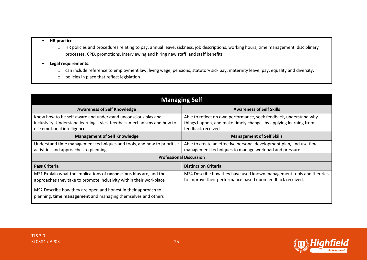#### • **HR practices:**

- o HR policies and procedures relating to pay, annual leave, sickness, job descriptions, working hours, time management, disciplinary processes, CPD, promotions, interviewing and hiring new staff, and staff benefits
- **Legal requirements:**
	- o can include reference to employment law, living wage, pensions, statutory sick pay, maternity leave, pay, equality and diversity.
	- o policies in place that reflect legislation

| <b>Managing Self</b>                                                                                                                                                                                                                                                       |                                                                                                                                                                |
|----------------------------------------------------------------------------------------------------------------------------------------------------------------------------------------------------------------------------------------------------------------------------|----------------------------------------------------------------------------------------------------------------------------------------------------------------|
| <b>Awareness of Self Knowledge</b>                                                                                                                                                                                                                                         | <b>Awareness of Self Skills</b>                                                                                                                                |
| Know how to be self-aware and understand unconscious bias and<br>inclusivity. Understand learning styles, feedback mechanisms and how to<br>use emotional intelligence.                                                                                                    | Able to reflect on own performance, seek feedback, understand why<br>things happen, and make timely changes by applying learning from<br>feedback received.    |
| <b>Management of Self Knowledge</b>                                                                                                                                                                                                                                        | <b>Management of Self Skills</b>                                                                                                                               |
| Understand time management techniques and tools, and how to prioritise<br>activities and approaches to planning                                                                                                                                                            | Able to create an effective personal development plan, and use time<br>management techniques to manage workload and pressure<br><b>Professional Discussion</b> |
| <b>Pass Criteria</b><br><b>Distinction Criteria</b>                                                                                                                                                                                                                        |                                                                                                                                                                |
| MS1 Explain what the implications of unconscious bias are, and the<br>approaches they take to promote inclusivity within their workplace<br>MS2 Describe how they are open and honest in their approach to<br>planning, time management and managing themselves and others | MS4 Describe how they have used known management tools and theories<br>to improve their performance based upon feedback received.                              |

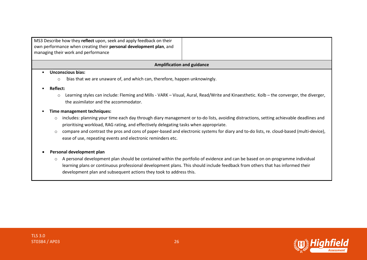| MS3 Describe how they reflect upon, seek and apply feedback on their<br>own performance when creating their personal development plan, and<br>managing their work and performance |  |
|-----------------------------------------------------------------------------------------------------------------------------------------------------------------------------------|--|
| <b>Amplification and guidance</b>                                                                                                                                                 |  |
| Unconscious bias:                                                                                                                                                                 |  |
| bias that we are unaware of, and which can, therefore, happen unknowingly.<br>$\circ$                                                                                             |  |

#### • **Reflect:**

o Learning styles can include: Fleming and Mills - VARK – Visual, Aural, Read/Write and Kinaesthetic. Kolb – the converger, the diverger, the assimilator and the accommodator.

#### • **Time management techniques:**

- o includes: planning your time each day through diary management or to-do lists, avoiding distractions, setting achievable deadlines and prioritising workload, RAG rating, and effectively delegating tasks when appropriate.
- o compare and contrast the pros and cons of paper-based and electronic systems for diary and to-do lists, re. cloud-based (multi-device), ease of use, repeating events and electronic reminders etc.

#### • **Personal development plan**

o A personal development plan should be contained within the portfolio of evidence and can be based on on-programme individual learning plans or continuous professional development plans. This should include feedback from others that has informed their development plan and subsequent actions they took to address this.

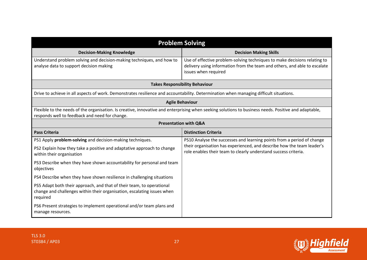| <b>Problem Solving</b>                                                                                                                                                                                  |                                                                                                                                                                                |  |
|---------------------------------------------------------------------------------------------------------------------------------------------------------------------------------------------------------|--------------------------------------------------------------------------------------------------------------------------------------------------------------------------------|--|
| <b>Decision-Making Knowledge</b>                                                                                                                                                                        | <b>Decision Making Skills</b>                                                                                                                                                  |  |
| Understand problem solving and decision-making techniques, and how to<br>analyse data to support decision making                                                                                        | Use of effective problem-solving techniques to make decisions relating to<br>delivery using information from the team and others, and able to escalate<br>issues when required |  |
| <b>Takes Responsibility Behaviour</b>                                                                                                                                                                   |                                                                                                                                                                                |  |
| Drive to achieve in all aspects of work. Demonstrates resilience and accountability. Determination when managing difficult situations.                                                                  |                                                                                                                                                                                |  |
| <b>Agile Behaviour</b>                                                                                                                                                                                  |                                                                                                                                                                                |  |
| Flexible to the needs of the organisation. Is creative, innovative and enterprising when seeking solutions to business needs. Positive and adaptable,<br>responds well to feedback and need for change. |                                                                                                                                                                                |  |
| <b>Presentation with Q&amp;A</b>                                                                                                                                                                        |                                                                                                                                                                                |  |
| <b>Pass Criteria</b>                                                                                                                                                                                    | <b>Distinction Criteria</b>                                                                                                                                                    |  |
| PS1 Apply problem-solving and decision-making techniques.                                                                                                                                               | PS10 Analyse the successes and learning points from a period of change                                                                                                         |  |
| PS2 Explain how they take a positive and adaptative approach to change<br>within their organisation                                                                                                     | their organisation has experienced, and describe how the team leader's<br>role enables their team to clearly understand success criteria.                                      |  |
| PS3 Describe when they have shown accountability for personal and team<br>objectives                                                                                                                    |                                                                                                                                                                                |  |
| PS4 Describe when they have shown resilience in challenging situations                                                                                                                                  |                                                                                                                                                                                |  |
| PS5 Adapt both their approach, and that of their team, to operational<br>change and challenges within their organisation, escalating issues when<br>required                                            |                                                                                                                                                                                |  |
| PS6 Present strategies to implement operational and/or team plans and<br>manage resources.                                                                                                              |                                                                                                                                                                                |  |

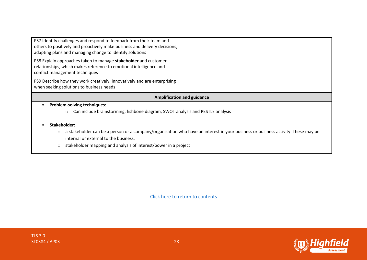| <b>Amplification and guidance</b><br><b>Problem-solving techniques:</b><br>Can include brainstorming, fishbone diagram, SWOT analysis and PESTLE analysis<br>$\circ$                                          |  |
|---------------------------------------------------------------------------------------------------------------------------------------------------------------------------------------------------------------|--|
| PS9 Describe how they work creatively, innovatively and are enterprising<br>when seeking solutions to business needs                                                                                          |  |
| PS8 Explain approaches taken to manage stakeholder and customer<br>relationships, which makes reference to emotional intelligence and<br>conflict management techniques                                       |  |
| PS7 Identify challenges and respond to feedback from their team and<br>others to positively and proactively make business and delivery decisions,<br>adapting plans and managing change to identify solutions |  |

- **Stakeholder:**
	- o a stakeholder can be a person or a company/organisation who have an interest in your business or business activity. These may be internal or external to the business.
	- o stakeholder mapping and analysis of interest/power in a project



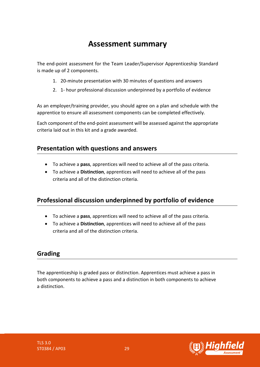# **Assessment summary**

<span id="page-28-0"></span>The end-point assessment for the Team Leader/Supervisor Apprenticeship Standard is made up of 2 components.

- 1. 20-minute presentation with 30 minutes of questions and answers
- 2. 1- hour professional discussion underpinned by a portfolio of evidence

As an employer/training provider, you should agree on a plan and schedule with the apprentice to ensure all assessment components can be completed effectively.

Each component of the end-point assessment will be assessed against the appropriate criteria laid out in this kit and a grade awarded.

### **Presentation with questions and answers**

- To achieve a **pass**, apprentices will need to achieve all of the pass criteria.
- To achieve a **Distinction**, apprentices will need to achieve all of the pass criteria and all of the distinction criteria.

# **Professional discussion underpinned by portfolio of evidence**

- To achieve a **pass**, apprentices will need to achieve all of the pass criteria.
- To achieve a **Distinction**, apprentices will need to achieve all of the pass criteria and all of the distinction criteria.

# **Grading**

The apprenticeship is graded pass or distinction. Apprentices must achieve a pass in both components to achieve a pass and a distinction in both components to achieve a distinction.

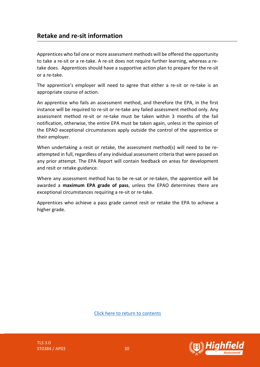### **Retake and re-sit information**

Apprentices who fail one or more assessment methods will be offered the opportunity to take a re-sit or a re-take. A re-sit does not require further learning, whereas a retake does. Apprentices should have a supportive action plan to prepare for the re-sit or a re-take.

The apprentice's employer will need to agree that either a re-sit or re-take is an appropriate course of action.

An apprentice who fails an assessment method, and therefore the EPA, in the first instance will be required to re-sit or re-take any failed assessment method only. Any assessment method re-sit or re-take must be taken within 3 months of the fail notification, otherwise, the entire EPA must be taken again, unless in the opinion of the EPAO exceptional circumstances apply outside the control of the apprentice or their employer.

When undertaking a resit or retake, the assessment method(s) will need to be reattempted in full, regardless of any individual assessment criteria that were passed on any prior attempt. The EPA Report will contain feedback on areas for development and resit or retake guidance.

Where any assessment method has to be re-sat or re-taken, the apprentice will be awarded a **maximum EPA grade of pass**, unless the EPAO determines there are exceptional circumstances requiring a re-sit or re-take.

Apprentices who achieve a pass grade cannot resit or retake the EPA to achieve a higher grade.

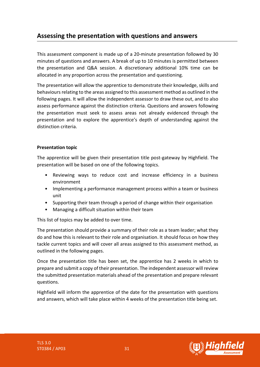# <span id="page-30-0"></span>**Assessing the presentation with questions and answers**

This assessment component is made up of a 20-minute presentation followed by 30 minutes of questions and answers. A break of up to 10 minutes is permitted between the presentation and Q&A session. A discretionary additional 10% time can be allocated in any proportion across the presentation and questioning.

The presentation will allow the apprentice to demonstrate their knowledge, skills and behaviours relating to the areas assigned to this assessment method as outlined in the following pages. It will allow the independent assessor to draw these out, and to also assess performance against the distinction criteria. Questions and answers following the presentation must seek to assess areas not already evidenced through the presentation and to explore the apprentice's depth of understanding against the distinction criteria.

#### **Presentation topic**

The apprentice will be given their presentation title post-gateway by Highfield. The presentation will be based on one of the following topics.

- Reviewing ways to reduce cost and increase efficiency in a business environment
- Implementing a performance management process within a team or business unit
- Supporting their team through a period of change within their organisation
- Managing a difficult situation within their team

This list of topics may be added to over time.

The presentation should provide a summary of their role as a team leader; what they do and how this is relevant to their role and organisation. It should focus on how they tackle current topics and will cover all areas assigned to this assessment method, as outlined in the following pages.

Once the presentation title has been set, the apprentice has 2 weeks in which to prepare and submit a copy of their presentation. The independent assessor will review the submitted presentation materials ahead of the presentation and prepare relevant questions.

Highfield will inform the apprentice of the date for the presentation with questions and answers, which will take place within 4 weeks of the presentation title being set.

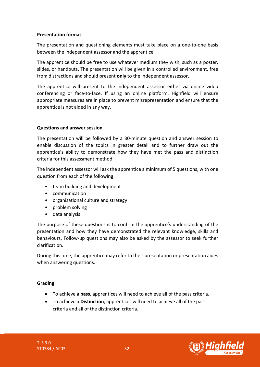#### **Presentation format**

The presentation and questioning elements must take place on a one-to-one basis between the independent assessor and the apprentice.

The apprentice should be free to use whatever medium they wish, such as a poster, slides, or handouts. The presentation will be given in a controlled environment, free from distractions and should present **only** to the independent assessor.

The apprentice will present to the independent assessor either via online video conferencing or face-to-face. If using an online platform, Highfield will ensure appropriate measures are in place to prevent misrepresentation and ensure that the apprentice is not aided in any way.

#### **Questions and answer session**

The presentation will be followed by a 30-minute question and answer session to enable discussion of the topics in greater detail and to further draw out the apprentice's ability to demonstrate how they have met the pass and distinction criteria for this assessment method.

The independent assessor will ask the apprentice a minimum of 5 questions, with one question from each of the following:

- team building and development
- communication
- organisational culture and strategy
- problem solving
- data analysis

The purpose of these questions is to confirm the apprentice's understanding of the presentation and how they have demonstrated the relevant knowledge, skills and behaviours. Follow-up questions may also be asked by the assessor to seek further clarification.

During this time, the apprentice may refer to their presentation or presentation aides when answering questions.

#### **Grading**

- To achieve a **pass**, apprentices will need to achieve all of the pass criteria.
- To achieve a **Distinction**, apprentices will need to achieve all of the pass criteria and all of the distinction criteria.

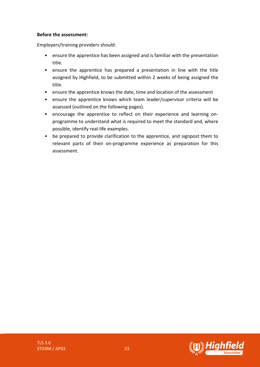#### **Before the assessment:**

Employers/training providers should:

- ensure the apprentice has been assigned and is familiar with the presentation title.
- ensure the apprentice has prepared a presentation in line with the title assigned by Highfield, to be submitted within 2 weeks of being assigned the title.
- ensure the apprentice knows the date, time and location of the assessment
- ensure the apprentice knows which team leader/supervisor criteria will be assessed (outlined on the following pages).
- encourage the apprentice to reflect on their experience and learning onprogramme to understand what is required to meet the standard and, where possible, identify real-life examples.
- be prepared to provide clarification to the apprentice, and signpost them to relevant parts of their on-programme experience as preparation for this assessment.

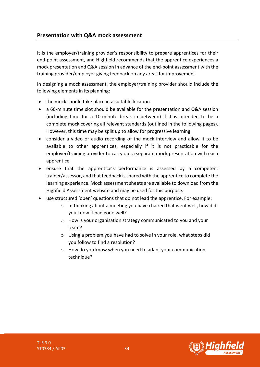### **Presentation with Q&A mock assessment**

It is the employer/training provider's responsibility to prepare apprentices for their end-point assessment, and Highfield recommends that the apprentice experiences a mock presentation and Q&A session in advance of the end-point assessment with the training provider/employer giving feedback on any areas for improvement.

In designing a mock assessment, the employer/training provider should include the following elements in its planning:

- the mock should take place in a suitable location.
- a 60-minute time slot should be available for the presentation and Q&A session (including time for a 10-minute break in between) if it is intended to be a complete mock covering all relevant standards (outlined in the following pages). However, this time may be split up to allow for progressive learning.
- consider a video or audio recording of the mock interview and allow it to be available to other apprentices, especially if it is not practicable for the employer/training provider to carry out a separate mock presentation with each apprentice.
- ensure that the apprentice's performance is assessed by a competent trainer/assessor, and that feedback is shared with the apprentice to complete the learning experience. Mock assessment sheets are available to download from the Highfield Assessment website and may be used for this purpose.
- use structured 'open' questions that do not lead the apprentice. For example:
	- o In thinking about a meeting you have chaired that went well, how did you know it had gone well?
	- o How is your organisation strategy communicated to you and your team?
	- o Using a problem you have had to solve in your role, what steps did you follow to find a resolution?
	- o How do you know when you need to adapt your communication technique?

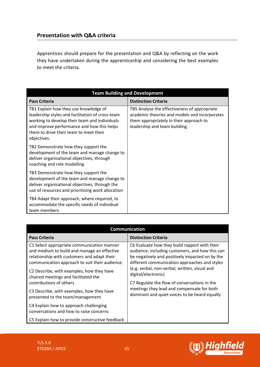### **Presentation with Q&A criteria**

Apprentices should prepare for the presentation and Q&A by reflecting on the work they have undertaken during the apprenticeship and considering the best examples to meet the criteria.

| <b>Team Building and Development</b>                                                                                                                                                                                                              |                                                                                                                                                                           |  |
|---------------------------------------------------------------------------------------------------------------------------------------------------------------------------------------------------------------------------------------------------|---------------------------------------------------------------------------------------------------------------------------------------------------------------------------|--|
| <b>Pass Criteria</b>                                                                                                                                                                                                                              | <b>Distinction Criteria</b>                                                                                                                                               |  |
| TB1 Explain how they use knowledge of<br>leadership styles and facilitation of cross-team<br>working to develop their team and individuals<br>and improve performance and how this helps<br>them to drive their team to meet their<br>objectives. | TB5 Analyse the effectiveness of appropriate<br>academic theories and models and incorporates<br>them appropriately in their approach to<br>leadership and team building. |  |
| TB2 Demonstrate how they support the<br>development of the team and manage change to<br>deliver organisational objectives, through<br>coaching and role modelling                                                                                 |                                                                                                                                                                           |  |
| TB3 Demonstrate how they support the<br>development of the team and manage change to<br>deliver organisational objectives, through the<br>use of resources and prioritising work allocation                                                       |                                                                                                                                                                           |  |
| TB4 Adapt their approach, where required, to<br>accommodate the specific needs of individual<br>team members                                                                                                                                      |                                                                                                                                                                           |  |

| <b>Communication</b>                                                                                                                                                                                                                                                                                                                                    |                                                                                                                                                                                                                                                                                                                                                                                                                             |
|---------------------------------------------------------------------------------------------------------------------------------------------------------------------------------------------------------------------------------------------------------------------------------------------------------------------------------------------------------|-----------------------------------------------------------------------------------------------------------------------------------------------------------------------------------------------------------------------------------------------------------------------------------------------------------------------------------------------------------------------------------------------------------------------------|
| <b>Pass Criteria</b>                                                                                                                                                                                                                                                                                                                                    | <b>Distinction Criteria</b>                                                                                                                                                                                                                                                                                                                                                                                                 |
| C1 Select appropriate communication manner<br>and medium to build and manage an effective<br>relationship with customers and adapt their<br>communication approach to suit their audience.<br>C2 Describe, with examples, how they have<br>chaired meetings and facilitated the<br>contributions of others<br>C3 Describe, with examples, how they have | C6 Evaluate how they build rapport with their<br>audience, including customers, and how this can<br>be negatively and positively impacted on by the<br>different communication approaches and styles<br>(e.g. verbal, non-verbal, written, visual and<br>digital/electronic)<br>C7 Regulate the flow of conversations in the<br>meetings they lead and compensate for both<br>dominant and quiet voices to be heard equally |
| presented to the team/management<br>C4 Explain how to approach challenging                                                                                                                                                                                                                                                                              |                                                                                                                                                                                                                                                                                                                                                                                                                             |
| conversations and how to raise concerns                                                                                                                                                                                                                                                                                                                 |                                                                                                                                                                                                                                                                                                                                                                                                                             |
| C5 Explain how to provide constructive feedback                                                                                                                                                                                                                                                                                                         |                                                                                                                                                                                                                                                                                                                                                                                                                             |

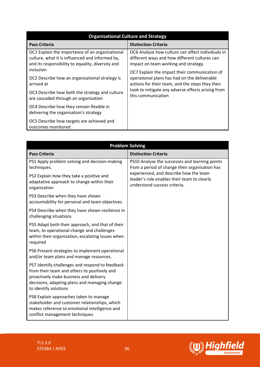| <b>Organisational Culture and Strategy</b>                                                                                                                           |                                                                                                                                                                                             |
|----------------------------------------------------------------------------------------------------------------------------------------------------------------------|---------------------------------------------------------------------------------------------------------------------------------------------------------------------------------------------|
| <b>Pass Criteria</b>                                                                                                                                                 | <b>Distinction Criteria</b>                                                                                                                                                                 |
| OC1 Explain the importance of an organisational<br>culture, what it is influenced and informed by,<br>and its responsibility to equality, diversity and<br>inclusion | OC6 Analyse how culture can affect individuals in<br>different ways and how different cultures can<br>impact on team working and strategy.<br>OC7 Explain the impact their communication of |
| OC2 Describe how an organisational strategy is<br>arrived at<br>OC3 Describe how both the strategy and culture                                                       | operational plans has had on the deliverable<br>actions for their team, and the steps they then<br>took to mitigate any adverse effects arising from                                        |
| are cascaded through an organisation                                                                                                                                 | this communication                                                                                                                                                                          |
| OC4 Describe how they remain flexible in<br>delivering the organisation's strategy                                                                                   |                                                                                                                                                                                             |
| OC5 Describe how targets are achieved and<br>outcomes monitored                                                                                                      |                                                                                                                                                                                             |

| <b>Problem Solving</b>                                                                                                                                                                                              |                                                                                                                       |
|---------------------------------------------------------------------------------------------------------------------------------------------------------------------------------------------------------------------|-----------------------------------------------------------------------------------------------------------------------|
| <b>Pass Criteria</b>                                                                                                                                                                                                | <b>Distinction Criteria</b>                                                                                           |
| PS1 Apply problem solving and decision-making<br>techniques.                                                                                                                                                        | PS10 Analyse the successes and learning points<br>from a period of change their organisation has                      |
| PS2 Explain how they take a positive and<br>adaptative approach to change within their<br>organisation                                                                                                              | experienced, and describe how the team<br>leader's role enables their team to clearly<br>understand success criteria. |
| PS3 Describe when they have shown<br>accountability for personal and team objectives                                                                                                                                |                                                                                                                       |
| PS4 Describe when they have shown resilience in<br>challenging situations                                                                                                                                           |                                                                                                                       |
| PS5 Adapt both their approach, and that of their<br>team, to operational change and challenges<br>within their organisation, escalating issues when<br>required                                                     |                                                                                                                       |
| PS6 Present strategies to implement operational<br>and/or team plans and manage resources.                                                                                                                          |                                                                                                                       |
| PS7 Identify challenges and respond to feedback<br>from their team and others to positively and<br>proactively make business and delivery<br>decisions, adapting plans and managing change<br>to identify solutions |                                                                                                                       |
| PS8 Explain approaches taken to manage<br>stakeholder and customer relationships, which<br>makes reference to emotional intelligence and<br>conflict management techniques                                          |                                                                                                                       |

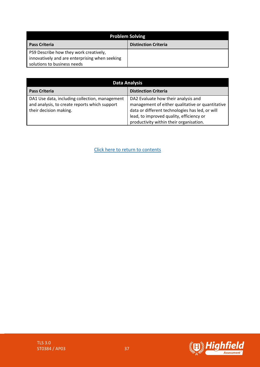| <b>Problem Solving</b>                                                                                                  |                             |
|-------------------------------------------------------------------------------------------------------------------------|-----------------------------|
| <b>Pass Criteria</b>                                                                                                    | <b>Distinction Criteria</b> |
| PS9 Describe how they work creatively,<br>innovatively and are enterprising when seeking<br>solutions to business needs |                             |

| <b>Data Analysis</b>                                                                                                      |                                                                                                                                                                                                                                   |
|---------------------------------------------------------------------------------------------------------------------------|-----------------------------------------------------------------------------------------------------------------------------------------------------------------------------------------------------------------------------------|
| <b>Pass Criteria</b>                                                                                                      | <b>Distinction Criteria</b>                                                                                                                                                                                                       |
| DA1 Use data, including collection, management<br>and analysis, to create reports which support<br>their decision making. | DA2 Evaluate how their analysis and<br>management of either qualitative or quantitative<br>data or different technologies has led, or will<br>lead, to improved quality, efficiency or<br>productivity within their organisation. |

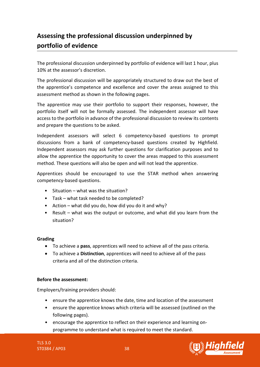# <span id="page-37-0"></span>**Assessing the professional discussion underpinned by portfolio of evidence**

The professional discussion underpinned by portfolio of evidence will last 1 hour, plus 10% at the assessor's discretion.

The professional discussion will be appropriately structured to draw out the best of the apprentice's competence and excellence and cover the areas assigned to this assessment method as shown in the following pages.

The apprentice may use their portfolio to support their responses, however, the portfolio itself will not be formally assessed. The independent assessor will have access to the portfolio in advance of the professional discussion to review its contents and prepare the questions to be asked.

Independent assessors will select 6 competency-based questions to prompt discussions from a bank of competency-based questions created by Highfield. Independent assessors may ask further questions for clarification purposes and to allow the apprentice the opportunity to cover the areas mapped to this assessment method. These questions will also be open and will not lead the apprentice.

Apprentices should be encouraged to use the STAR method when answering competency-based questions.

- Situation what was the situation?
- Task what task needed to be completed?
- Action what did you do, how did you do it and why?
- Result what was the output or outcome, and what did you learn from the situation?

#### **Grading**

- To achieve a **pass**, apprentices will need to achieve all of the pass criteria.
- To achieve a **Distinction**, apprentices will need to achieve all of the pass criteria and all of the distinction criteria.

#### **Before the assessment:**

Employers/training providers should:

- ensure the apprentice knows the date, time and location of the assessment
- ensure the apprentice knows which criteria will be assessed (outlined on the following pages).
- encourage the apprentice to reflect on their experience and learning onprogramme to understand what is required to meet the standard.

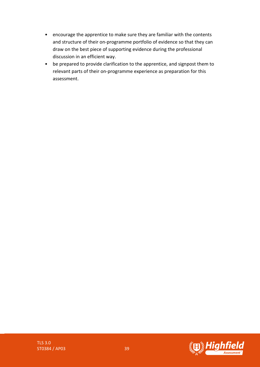- encourage the apprentice to make sure they are familiar with the contents and structure of their on-programme portfolio of evidence so that they can draw on the best piece of supporting evidence during the professional discussion in an efficient way.
- be prepared to provide clarification to the apprentice, and signpost them to relevant parts of their on-programme experience as preparation for this assessment.

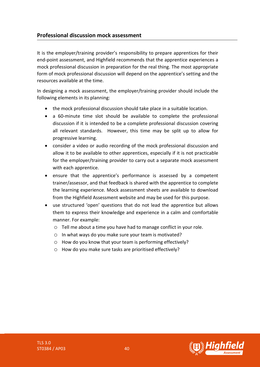### **Professional discussion mock assessment**

It is the employer/training provider's responsibility to prepare apprentices for their end-point assessment, and Highfield recommends that the apprentice experiences a mock professional discussion in preparation for the real thing. The most appropriate form of mock professional discussion will depend on the apprentice's setting and the resources available at the time.

In designing a mock assessment, the employer/training provider should include the following elements in its planning:

- the mock professional discussion should take place in a suitable location.
- a 60-minute time slot should be available to complete the professional discussion if it is intended to be a complete professional discussion covering all relevant standards. However, this time may be split up to allow for progressive learning.
- consider a video or audio recording of the mock professional discussion and allow it to be available to other apprentices, especially if it is not practicable for the employer/training provider to carry out a separate mock assessment with each apprentice.
- ensure that the apprentice's performance is assessed by a competent trainer/assessor, and that feedback is shared with the apprentice to complete the learning experience. Mock assessment sheets are available to download from the Highfield Assessment website and may be used for this purpose.
- use structured 'open' questions that do not lead the apprentice but allows them to express their knowledge and experience in a calm and comfortable manner. For example:
	- o Tell me about a time you have had to manage conflict in your role.
	- o In what ways do you make sure your team is motivated?
	- o How do you know that your team is performing effectively?
	- o How do you make sure tasks are prioritised effectively?

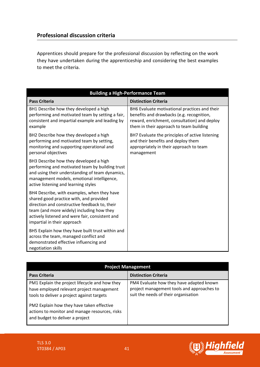Apprentices should prepare for the professional discussion by reflecting on the work they have undertaken during the apprenticeship and considering the best examples to meet the criteria.

| <b>Building a High-Performance Team</b>                                                                                                                                                                                                                                |                                                                                                                                                                                       |
|------------------------------------------------------------------------------------------------------------------------------------------------------------------------------------------------------------------------------------------------------------------------|---------------------------------------------------------------------------------------------------------------------------------------------------------------------------------------|
| <b>Pass Criteria</b>                                                                                                                                                                                                                                                   | <b>Distinction Criteria</b>                                                                                                                                                           |
| BH1 Describe how they developed a high<br>performing and motivated team by setting a fair,<br>consistent and impartial example and leading by<br>example                                                                                                               | BH6 Evaluate motivational practices and their<br>benefits and drawbacks (e.g. recognition,<br>reward, enrichment, consultation) and deploy<br>them in their approach to team building |
| BH2 Describe how they developed a high<br>performing and motivated team by setting,<br>monitoring and supporting operational and<br>personal objectives                                                                                                                | BH7 Evaluate the principles of active listening<br>and their benefits and deploy them<br>appropriately in their approach to team<br>management                                        |
| BH3 Describe how they developed a high<br>performing and motivated team by building trust<br>and using their understanding of team dynamics,<br>management models, emotional intelligence,<br>active listening and learning styles                                     |                                                                                                                                                                                       |
| BH4 Describe, with examples, when they have<br>shared good practice with, and provided<br>direction and constructive feedback to, their<br>team (and more widely) including how they<br>actively listened and were fair, consistent and<br>impartial in their approach |                                                                                                                                                                                       |
| BH5 Explain how they have built trust within and<br>across the team, managed conflict and<br>demonstrated effective influencing and<br>negotiation skills                                                                                                              |                                                                                                                                                                                       |

| <b>Project Management</b>                                                                                                                 |                                                                                                                                |
|-------------------------------------------------------------------------------------------------------------------------------------------|--------------------------------------------------------------------------------------------------------------------------------|
| <b>Pass Criteria</b>                                                                                                                      | <b>Distinction Criteria</b>                                                                                                    |
| PM1 Explain the project lifecycle and how they<br>have employed relevant project management<br>tools to deliver a project against targets | PM4 Evaluate how they have adapted known<br>project management tools and approaches to<br>suit the needs of their organisation |
| PM2 Explain how they have taken effective<br>actions to monitor and manage resources, risks<br>and budget to deliver a project            |                                                                                                                                |